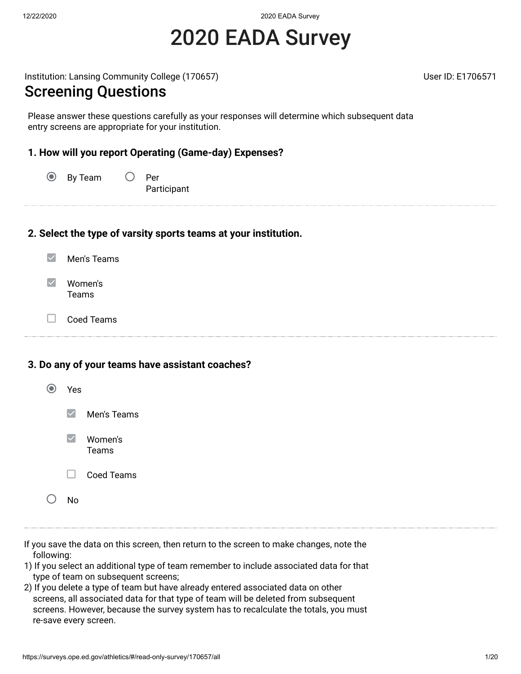12/22/2020 2020 EADA Survey

# 2020 EADA Survey

Institution: Lansing Community College (170657) November 2012 12: 1706571

#### Screening Questions

Please answer these questions carefully as your responses will determine which subsequent data entry screens are appropriate for your institution.

#### **1. How will you report Operating (Game-day) Expenses?**

 $\odot$ By Team  $\bigcirc$  Per Participant

#### **2. Select the type of varsity sports teams at your institution.**

- $\blacktriangledown$ Men's Teams
- $\blacktriangledown$ Women's Teams
- $\Box$ Coed Teams

#### **3. Do any of your teams have assistant coaches?**

| Yes    |                         |
|--------|-------------------------|
|        | $\vee$ Men's Teams      |
|        | $\vee$ Women's<br>Teams |
| $\Box$ | <b>Coed Teams</b>       |
| N٥     |                         |

- If you save the data on this screen, then return to the screen to make changes, note the following:
- 1) If you select an additional type of team remember to include associated data for that type of team on subsequent screens;
- 2) If you delete a type of team but have already entered associated data on other screens, all associated data for that type of team will be deleted from subsequent screens. However, because the survey system has to recalculate the totals, you must re-save every screen.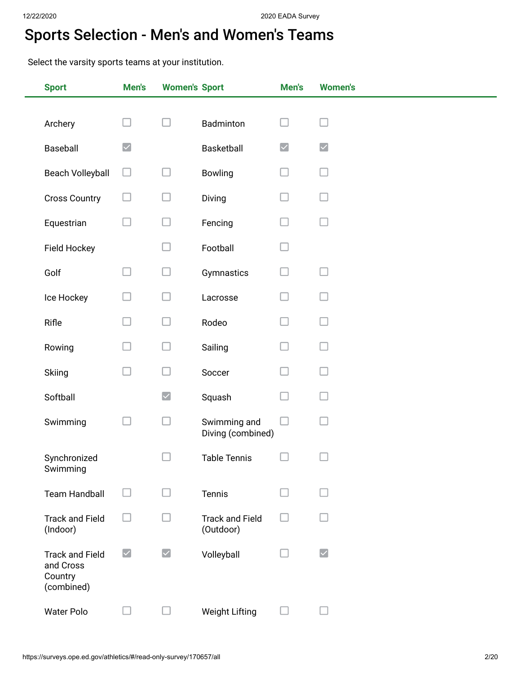## Sports Selection - Men's and Women's Teams

Select the varsity sports teams at your institution.

| <b>Sport</b>                                                 | Men's                | <b>Women's Sport</b> |                                     | Men's                | <b>Women's</b>                              |
|--------------------------------------------------------------|----------------------|----------------------|-------------------------------------|----------------------|---------------------------------------------|
|                                                              |                      |                      |                                     |                      |                                             |
| Archery                                                      |                      | $\Box$               | Badminton                           |                      |                                             |
| Baseball                                                     | $\blacktriangledown$ |                      | Basketball                          | $\blacktriangledown$ | $\blacktriangledown$                        |
| <b>Beach Volleyball</b>                                      | $\Box$               | $\Box$               | Bowling                             |                      |                                             |
| <b>Cross Country</b>                                         | ш                    | ப                    | Diving                              |                      |                                             |
| Equestrian                                                   | $\Box$               | $\Box$               | Fencing                             | u                    |                                             |
| Field Hockey                                                 |                      | - 1                  | Football                            |                      |                                             |
| Golf                                                         | u                    | $\Box$               | Gymnastics                          |                      |                                             |
| Ice Hockey                                                   |                      | $\Box$               | Lacrosse                            |                      |                                             |
| Rifle                                                        |                      | $\Box$               | Rodeo                               |                      |                                             |
| Rowing                                                       |                      | н                    | Sailing                             |                      |                                             |
| Skiing                                                       | П                    | ப                    | Soccer                              |                      |                                             |
| Softball                                                     |                      | $\blacktriangledown$ | Squash                              |                      |                                             |
| Swimming                                                     |                      | $\Box$               | Swimming and<br>Diving (combined)   |                      |                                             |
| Synchronized<br>Swimming                                     |                      | - 1                  | <b>Table Tennis</b>                 |                      |                                             |
| <b>Team Handball</b>                                         | $\Box$               | u                    | Tennis                              |                      |                                             |
| <b>Track and Field</b><br>(Indoor)                           |                      |                      | <b>Track and Field</b><br>(Outdoor) |                      |                                             |
| <b>Track and Field</b><br>and Cross<br>Country<br>(combined) | $\blacktriangledown$ | $\blacktriangledown$ | Volleyball                          |                      | $\vert\mathcal{\mathcal{\mathcal{L}}}\vert$ |
| <b>Water Polo</b>                                            | ⊔                    | ⊔                    | <b>Weight Lifting</b>               |                      |                                             |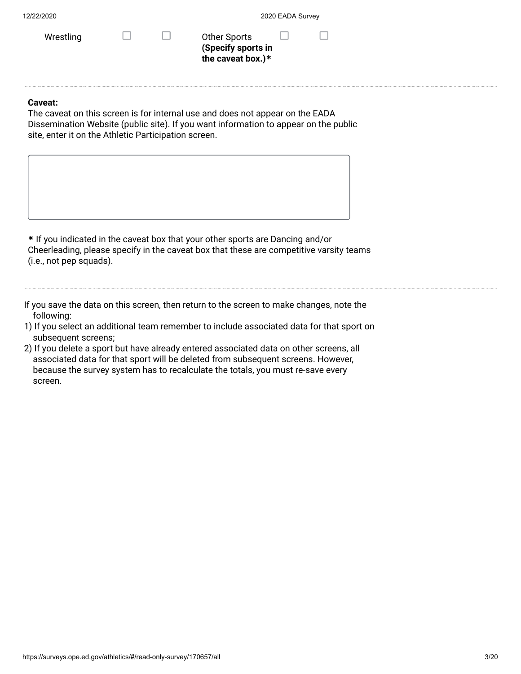| 12/22/2020 |
|------------|
|------------|

**the caveat box.)\***

**Caveat:**

The caveat on this screen is for internal use and does not appear on the EADA Dissemination Website (public site). If you want information to appear on the public site, enter it on the Athletic Participation screen.

**\*** If you indicated in the caveat box that your other sports are Dancing and/or Cheerleading, please specify in the caveat box that these are competitive varsity teams (i.e., not pep squads).

If you save the data on this screen, then return to the screen to make changes, note the following:

- 1) If you select an additional team remember to include associated data for that sport on subsequent screens;
- 2) If you delete a sport but have already entered associated data on other screens, all associated data for that sport will be deleted from subsequent screens. However, because the survey system has to recalculate the totals, you must re-save every screen.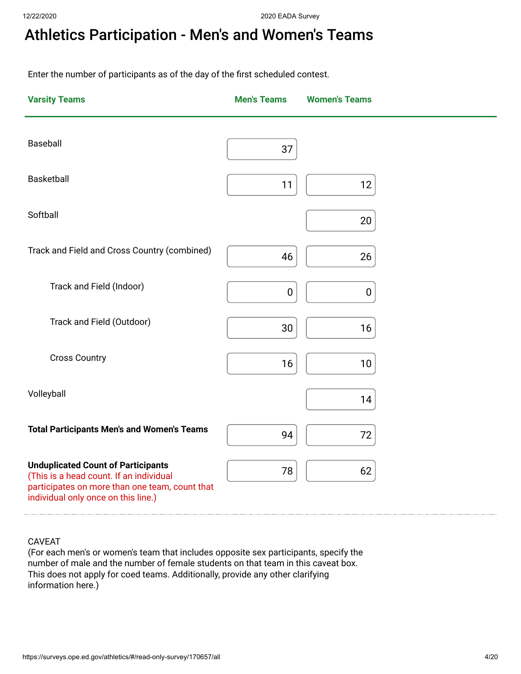# Athletics Participation - Men's and Women's Teams

Enter the number of participants as of the day of the first scheduled contest.

| <b>Varsity Teams</b>                                                                                                             | <b>Men's Teams</b> | <b>Women's Teams</b> |  |
|----------------------------------------------------------------------------------------------------------------------------------|--------------------|----------------------|--|
| Baseball                                                                                                                         | 37                 |                      |  |
| <b>Basketball</b>                                                                                                                | 11                 | 12                   |  |
| Softball                                                                                                                         |                    | 20                   |  |
| Track and Field and Cross Country (combined)                                                                                     | 46                 | 26                   |  |
| Track and Field (Indoor)                                                                                                         | 0                  | 0                    |  |
| Track and Field (Outdoor)                                                                                                        | 30                 | 16                   |  |
| <b>Cross Country</b>                                                                                                             | 16                 | 10                   |  |
| Volleyball                                                                                                                       |                    | 14                   |  |
| <b>Total Participants Men's and Women's Teams</b>                                                                                | 94                 | 72                   |  |
| <b>Unduplicated Count of Participants</b>                                                                                        |                    |                      |  |
| (This is a head count. If an individual<br>participates on more than one team, count that<br>individual only once on this line.) | 78                 | 62                   |  |

#### CAVEAT

(For each men's or women's team that includes opposite sex participants, specify the number of male and the number of female students on that team in this caveat box. This does not apply for coed teams. Additionally, provide any other clarifying information here.)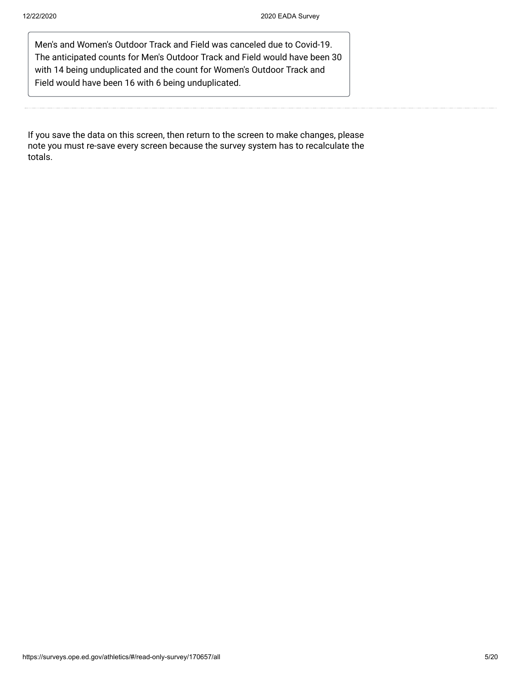Men's and Women's Outdoor Track and Field was canceled due to Covid-19. The anticipated counts for Men's Outdoor Track and Field would have been 30 with 14 being unduplicated and the count for Women's Outdoor Track and Field would have been 16 with 6 being unduplicated.

If you save the data on this screen, then return to the screen to make changes, please note you must re-save every screen because the survey system has to recalculate the totals.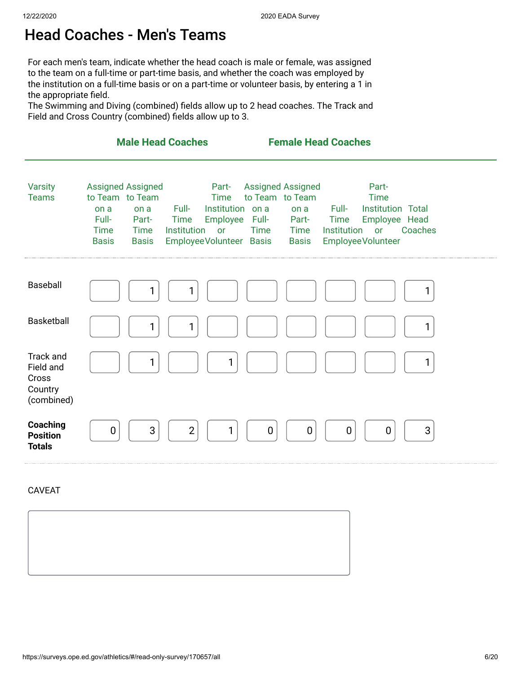#### Head Coaches - Men's Teams

For each men's team, indicate whether the head coach is male or female, was assigned to the team on a full-time or part-time basis, and whether the coach was employed by the institution on a full-time basis or on a part-time or volunteer basis, by entering a 1 in the appropriate field.

The Swimming and Diving (combined) fields allow up to 2 head coaches. The Track and Field and Cross Country (combined) fields allow up to 3.

|                                                                 | <b>Male Head Coaches</b>                                                                                                                    |                                                                                                                                      | <b>Female Head Coaches</b>                                                                                          |                                                                                                                                             |         |
|-----------------------------------------------------------------|---------------------------------------------------------------------------------------------------------------------------------------------|--------------------------------------------------------------------------------------------------------------------------------------|---------------------------------------------------------------------------------------------------------------------|---------------------------------------------------------------------------------------------------------------------------------------------|---------|
| <b>Varsity</b><br><b>Teams</b>                                  | <b>Assigned Assigned</b><br>to Team to Team<br>on a<br>on a<br>Full-<br>Part-<br><b>Time</b><br><b>Time</b><br><b>Basis</b><br><b>Basis</b> | Part-<br><b>Time</b><br>Institution on a<br>Full-<br>Employee<br><b>Time</b><br><b>Institution</b><br>or<br>Employee Volunteer Basis | <b>Assigned Assigned</b><br>to Team to Team<br>on a<br>Full-<br>Part-<br><b>Time</b><br><b>Time</b><br><b>Basis</b> | Part-<br><b>Time</b><br><b>Institution Total</b><br>Full-<br>Employee Head<br><b>Time</b><br><b>Institution</b><br>or<br>Employee Volunteer | Coaches |
| Baseball                                                        | 1                                                                                                                                           | 1                                                                                                                                    |                                                                                                                     |                                                                                                                                             | 1       |
| <b>Basketball</b>                                               | 1                                                                                                                                           | 1                                                                                                                                    |                                                                                                                     |                                                                                                                                             | 1       |
| <b>Track and</b><br>Field and<br>Cross<br>Country<br>(combined) | 1                                                                                                                                           | 1                                                                                                                                    |                                                                                                                     |                                                                                                                                             |         |
| Coaching<br><b>Position</b><br><b>Totals</b>                    | 3<br>0                                                                                                                                      | $\overline{2}$<br>1                                                                                                                  | $\mathbf 0$<br>0                                                                                                    | $\boldsymbol{0}$<br>0                                                                                                                       | 3       |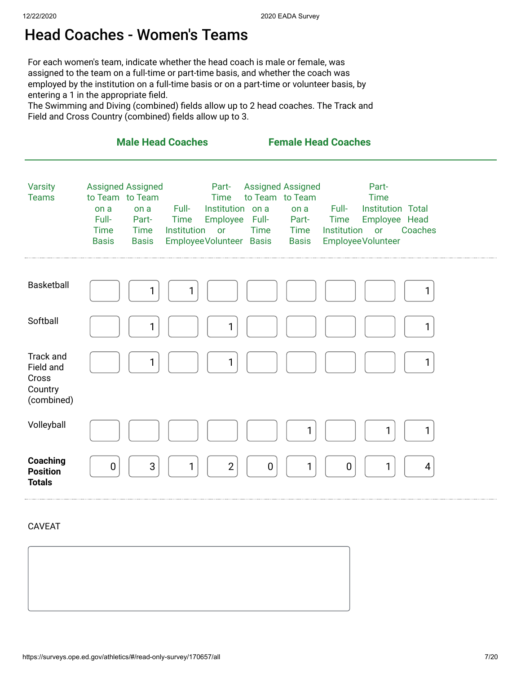## Head Coaches - Women's Teams

For each women's team, indicate whether the head coach is male or female, was assigned to the team on a full-time or part-time basis, and whether the coach was employed by the institution on a full-time basis or on a part-time or volunteer basis, by entering a 1 in the appropriate field.

The Swimming and Diving (combined) fields allow up to 2 head coaches. The Track and Field and Cross Country (combined) fields allow up to 3.

|                                                                 | <b>Male Head Coaches</b>                                                                                                                    |                                                                                                                               | <b>Female Head Coaches</b>                                                                                          |                                                                                                                                      |              |
|-----------------------------------------------------------------|---------------------------------------------------------------------------------------------------------------------------------------------|-------------------------------------------------------------------------------------------------------------------------------|---------------------------------------------------------------------------------------------------------------------|--------------------------------------------------------------------------------------------------------------------------------------|--------------|
| <b>Varsity</b><br><b>Teams</b>                                  | <b>Assigned Assigned</b><br>to Team to Team<br>on a<br>on a<br>Full-<br>Part-<br><b>Time</b><br><b>Time</b><br><b>Basis</b><br><b>Basis</b> | Part-<br><b>Time</b><br>Full-<br>Institution on a<br>Employee<br><b>Time</b><br>Institution<br>or<br>Employee Volunteer Basis | <b>Assigned Assigned</b><br>to Team to Team<br>on a<br>Full-<br>Part-<br><b>Time</b><br><b>Time</b><br><b>Basis</b> | Part-<br><b>Time</b><br>Full-<br><b>Institution Total</b><br>Employee Head<br><b>Time</b><br>Institution<br>or<br>Employee Volunteer | Coaches      |
| <b>Basketball</b>                                               | 1                                                                                                                                           | 1                                                                                                                             |                                                                                                                     |                                                                                                                                      | 1            |
| Softball                                                        | 1                                                                                                                                           | 1                                                                                                                             |                                                                                                                     |                                                                                                                                      | 1            |
| <b>Track and</b><br>Field and<br>Cross<br>Country<br>(combined) | 1                                                                                                                                           | 1                                                                                                                             |                                                                                                                     |                                                                                                                                      | $\mathbf{1}$ |
| Volleyball                                                      |                                                                                                                                             |                                                                                                                               | 1                                                                                                                   |                                                                                                                                      | 1            |
| Coaching<br><b>Position</b><br><b>Totals</b>                    | 3<br>$\mathbf 0$                                                                                                                            | $\overline{2}$<br>1                                                                                                           | 1<br>0                                                                                                              | 1<br>$\boldsymbol{0}$                                                                                                                | 4            |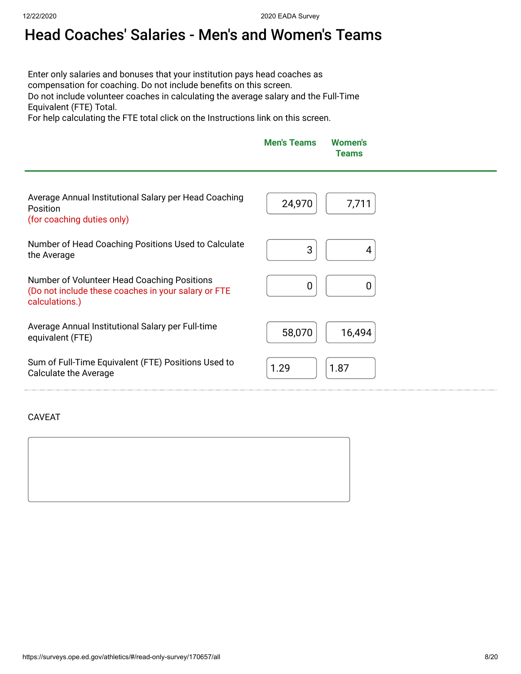# Head Coaches' Salaries - Men's and Women's Teams

Enter only salaries and bonuses that your institution pays head coaches as compensation for coaching. Do not include benefits on this screen. Do not include volunteer coaches in calculating the average salary and the Full-Time Equivalent (FTE) Total.

For help calculating the FTE total click on the Instructions link on this screen.

|                                                                                                 | <b>Men's Teams</b> | Women's<br><b>Teams</b> |  |
|-------------------------------------------------------------------------------------------------|--------------------|-------------------------|--|
| Average Annual Institutional Salary per Head Coaching<br>Position<br>(for coaching duties only) | 24,970             | 7,711                   |  |

Number of Head Coaching Positions Used to Calculate 3 ] 4<br>the Average 3 ] 4

Number of Volunteer Head Coaching Positions (Do not include these coaches in your salary or FTE calculations.)

Average Annual Institutional Salary per Full-time equivalent (FTE) 58,070 16,494

Sum of Full-Time Equivalent (FTE) Positions Used to Suit of Fun-Time Equivalent (FTE) Fositions osed to  $\begin{bmatrix} 1.29 \\ 1.29 \end{bmatrix}$   $\begin{bmatrix} 1.87 \\ 1.87 \end{bmatrix}$ 

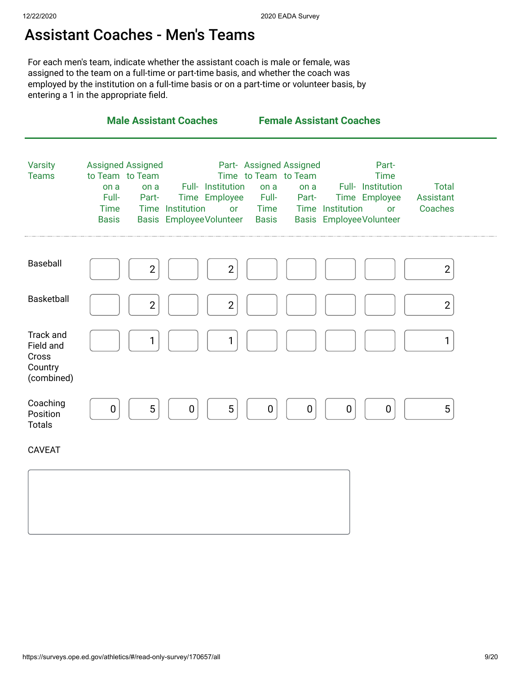#### Assistant Coaches - Men's Teams

For each men's team, indicate whether the assistant coach is male or female, was assigned to the team on a full-time or part-time basis, and whether the coach was employed by the institution on a full-time basis or on a part-time or volunteer basis, by entering a 1 in the appropriate field.

|                                                          | <b>Male Assistant Coaches</b>                                                                                                                                                                                  | <b>Female Assistant Coaches</b>                                                                                                                                                                                                                   |                                             |
|----------------------------------------------------------|----------------------------------------------------------------------------------------------------------------------------------------------------------------------------------------------------------------|---------------------------------------------------------------------------------------------------------------------------------------------------------------------------------------------------------------------------------------------------|---------------------------------------------|
| <b>Varsity</b><br><b>Teams</b>                           | <b>Assigned Assigned</b><br>to Team to Team<br>Full- Institution<br>on a<br>on a<br>Full-<br>Time Employee<br>Part-<br><b>Time</b><br>Time Institution<br>or<br><b>Basis EmployeeVolunteer</b><br><b>Basis</b> | Part- Assigned Assigned<br>Part-<br>Time to Team to Team<br><b>Time</b><br>Full- Institution<br>on a<br>on a<br>Full-<br>Time Employee<br>Part-<br>Time Institution<br><b>Time</b><br><b>or</b><br><b>Basis EmployeeVolunteer</b><br><b>Basis</b> | <b>Total</b><br><b>Assistant</b><br>Coaches |
| Baseball                                                 | $\overline{2}$<br>$\overline{2}$                                                                                                                                                                               |                                                                                                                                                                                                                                                   | $\overline{2}$                              |
| <b>Basketball</b>                                        | $\overline{2}$<br>$\overline{2}$                                                                                                                                                                               |                                                                                                                                                                                                                                                   | $\overline{2}$                              |
| Track and<br>Field and<br>Cross<br>Country<br>(combined) | 1<br>1                                                                                                                                                                                                         |                                                                                                                                                                                                                                                   | $\mathbf{1}$                                |
| Coaching<br>Position<br><b>Totals</b>                    | 5<br>5<br>$\pmb{0}$<br>$\pmb{0}$                                                                                                                                                                               | $\pmb{0}$<br>$\pmb{0}$<br>$\pmb{0}$<br>0                                                                                                                                                                                                          | 5                                           |
| <b>CAVEAT</b>                                            |                                                                                                                                                                                                                |                                                                                                                                                                                                                                                   |                                             |
|                                                          |                                                                                                                                                                                                                |                                                                                                                                                                                                                                                   |                                             |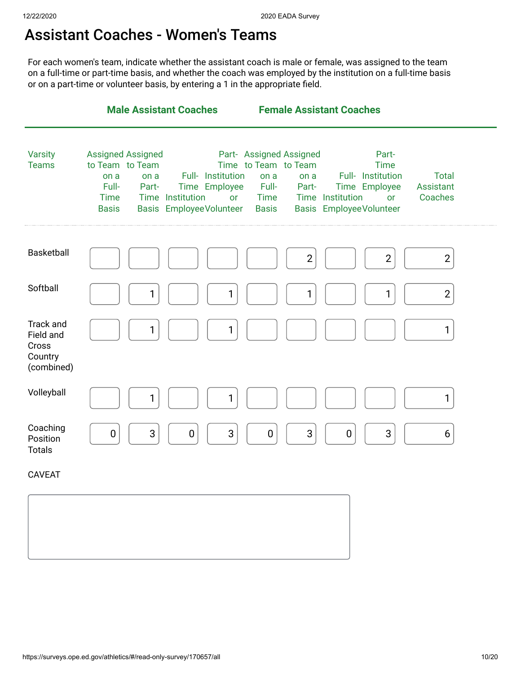#### Assistant Coaches - Women's Teams

For each women's team, indicate whether the assistant coach is male or female, was assigned to the team on a full-time or part-time basis, and whether the coach was employed by the institution on a full-time basis or on a part-time or volunteer basis, by entering a 1 in the appropriate field.

|                                                                 | <b>Male Assistant Coaches</b>                                                                                |                                                                                                       | <b>Female Assistant Coaches</b>                                                                           |                                                                                                                        |                                      |
|-----------------------------------------------------------------|--------------------------------------------------------------------------------------------------------------|-------------------------------------------------------------------------------------------------------|-----------------------------------------------------------------------------------------------------------|------------------------------------------------------------------------------------------------------------------------|--------------------------------------|
| <b>Varsity</b><br><b>Teams</b>                                  | <b>Assigned Assigned</b><br>to Team to Team<br>on a<br>on a<br>Full-<br>Part-<br><b>Time</b><br><b>Basis</b> | Full- Institution<br>Time Employee<br>Time Institution<br><b>or</b><br><b>Basis EmployeeVolunteer</b> | Part- Assigned Assigned<br>Time to Team to Team<br>on a<br>on a<br>Full-<br>Part-<br>Time<br><b>Basis</b> | Part-<br><b>Time</b><br>Full- Institution<br>Time Employee<br>Time Institution<br>or<br><b>Basis EmployeeVolunteer</b> | <b>Total</b><br>Assistant<br>Coaches |
| Basketball                                                      |                                                                                                              |                                                                                                       | $\mathbf{2}$                                                                                              | $\overline{2}$                                                                                                         | $\overline{2}$                       |
| Softball                                                        | 1                                                                                                            | 1                                                                                                     | 1                                                                                                         | 1                                                                                                                      | $\mathbf{2}$                         |
| <b>Track and</b><br>Field and<br>Cross<br>Country<br>(combined) | 1                                                                                                            | 1                                                                                                     |                                                                                                           |                                                                                                                        | $\mathbf{1}$                         |
| Volleyball                                                      | 1                                                                                                            | 1                                                                                                     |                                                                                                           |                                                                                                                        | $\mathbf{1}$                         |
| Coaching<br>Position<br><b>Totals</b>                           | 3<br>$\boldsymbol{0}$                                                                                        | 3<br>$\boldsymbol{0}$                                                                                 | $\sqrt{3}$<br>$\pmb{0}$                                                                                   | $\ensuremath{\mathsf{3}}$<br>0                                                                                         | 6                                    |
| <b>CAVEAT</b>                                                   |                                                                                                              |                                                                                                       |                                                                                                           |                                                                                                                        |                                      |
|                                                                 |                                                                                                              |                                                                                                       |                                                                                                           |                                                                                                                        |                                      |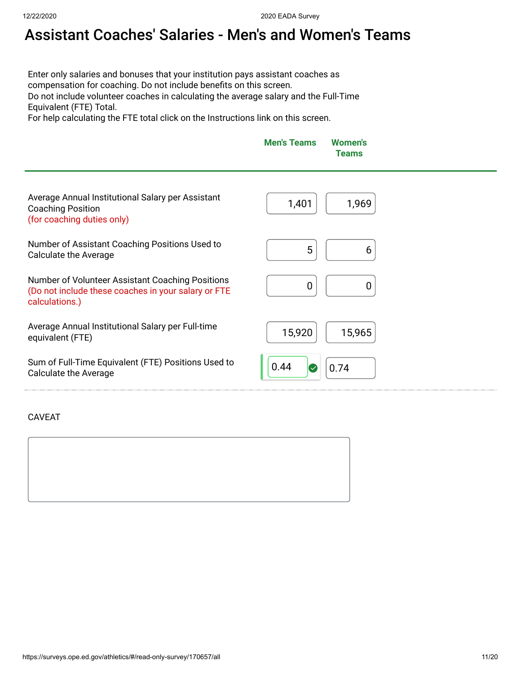# Assistant Coaches' Salaries - Men's and Women's Teams

Enter only salaries and bonuses that your institution pays assistant coaches as compensation for coaching. Do not include benefits on this screen. Do not include volunteer coaches in calculating the average salary and the Full-Time Equivalent (FTE) Total.

For help calculating the FTE total click on the Instructions link on this screen.

|                                                                                                                           | <b>Men's Teams</b>   | <b>Women's</b><br><b>Teams</b> |  |
|---------------------------------------------------------------------------------------------------------------------------|----------------------|--------------------------------|--|
| Average Annual Institutional Salary per Assistant<br><b>Coaching Position</b><br>(for coaching duties only)               | 1,401                | 1,969                          |  |
| Number of Assistant Coaching Positions Used to<br><b>Calculate the Average</b>                                            | 5                    | 6                              |  |
| Number of Volunteer Assistant Coaching Positions<br>(Do not include these coaches in your salary or FTE<br>calculations.) | 0                    | 0                              |  |
| Average Annual Institutional Salary per Full-time<br>equivalent (FTE)                                                     | 15,920               | 15,965                         |  |
| Sum of Full-Time Equivalent (FTE) Positions Used to<br><b>Calculate the Average</b>                                       | 0.44<br>$\checkmark$ | 0.74                           |  |

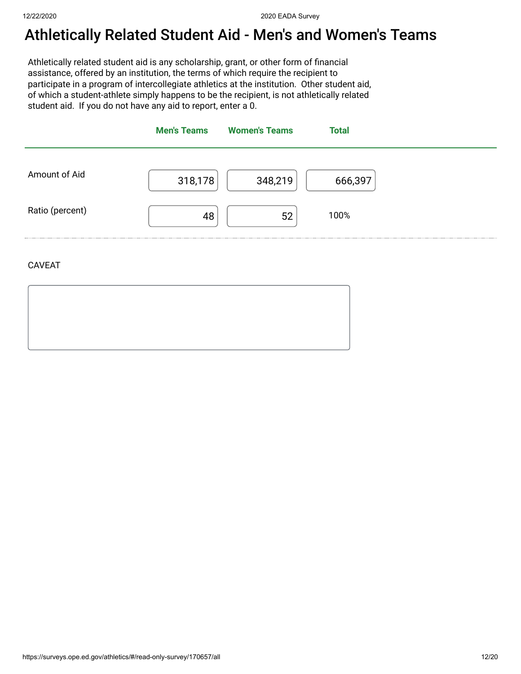#### Athletically Related Student Aid - Men's and Women's Teams

Athletically related student aid is any scholarship, grant, or other form of financial assistance, offered by an institution, the terms of which require the recipient to participate in a program of intercollegiate athletics at the institution. Other student aid, of which a student-athlete simply happens to be the recipient, is not athletically related student aid. If you do not have any aid to report, enter a 0.



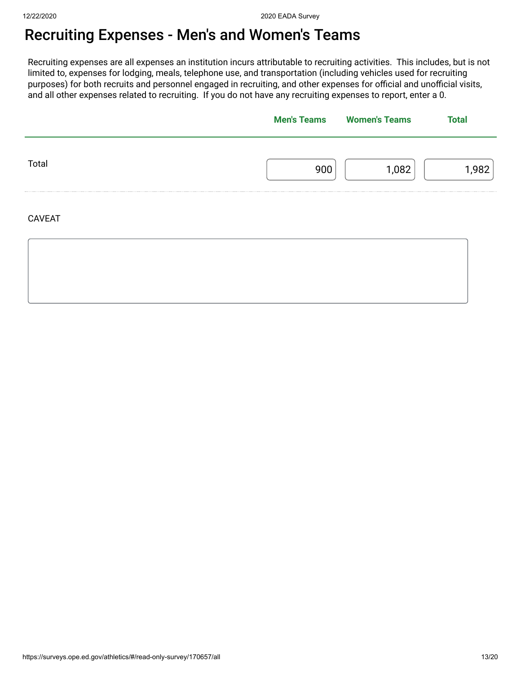### Recruiting Expenses - Men's and Women's Teams

Recruiting expenses are all expenses an institution incurs attributable to recruiting activities. This includes, but is not limited to, expenses for lodging, meals, telephone use, and transportation (including vehicles used for recruiting purposes) for both recruits and personnel engaged in recruiting, and other expenses for official and unofficial visits, and all other expenses related to recruiting. If you do not have any recruiting expenses to report, enter a 0.

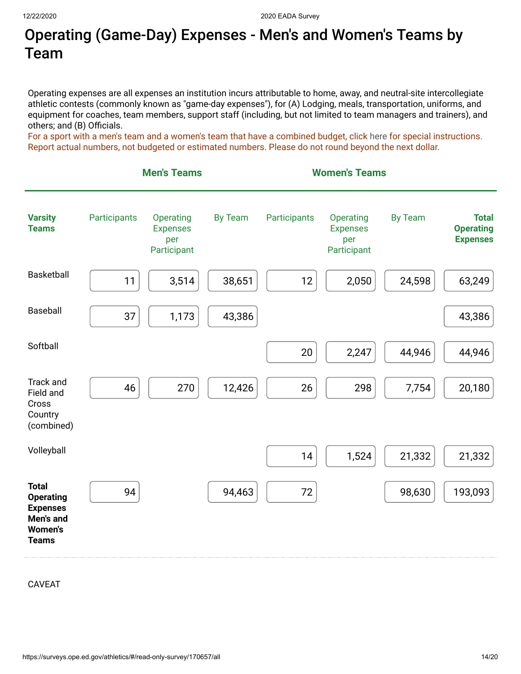## Operating (Game-Day) Expenses - Men's and Women's Teams by Team

Operating expenses are all expenses an institution incurs attributable to home, away, and neutral-site intercollegiate athletic contests (commonly known as "game-day expenses"), for (A) Lodging, meals, transportation, uniforms, and equipment for coaches, team members, support staff (including, but not limited to team managers and trainers), and others; and (B) Officials.

For a sport with a men's team and a women's team that have a combined budget, click [here](https://surveys.ope.ed.gov/athletics2k20/wwwroot/documents/inst_1.pdf) for special instructions. Report actual numbers, not budgeted or estimated numbers. Please do not round beyond the next dollar.

|                                                                                                    |              | <b>Men's Teams</b>                                 |                |              | <b>Women's Teams</b>                               |                |                                                     |
|----------------------------------------------------------------------------------------------------|--------------|----------------------------------------------------|----------------|--------------|----------------------------------------------------|----------------|-----------------------------------------------------|
| <b>Varsity</b><br><b>Teams</b>                                                                     | Participants | Operating<br><b>Expenses</b><br>per<br>Participant | <b>By Team</b> | Participants | Operating<br><b>Expenses</b><br>per<br>Participant | <b>By Team</b> | <b>Total</b><br><b>Operating</b><br><b>Expenses</b> |
| Basketball                                                                                         | 11           | 3,514                                              | 38,651         | 12           | 2,050                                              | 24,598         | 63,249                                              |
| Baseball                                                                                           | 37           | 1,173                                              | 43,386         |              |                                                    |                | 43,386                                              |
| Softball                                                                                           |              |                                                    |                | 20           | 2,247                                              | 44,946         | 44,946                                              |
| Track and<br>Field and<br>Cross<br>Country<br>(combined)                                           | 46           | 270                                                | 12,426         | 26           | 298                                                | 7,754          | 20,180                                              |
| Volleyball                                                                                         |              |                                                    |                | 14           | 1,524                                              | 21,332         | 21,332                                              |
| <b>Total</b><br><b>Operating</b><br><b>Expenses</b><br>Men's and<br><b>Women's</b><br><b>Teams</b> | 94           |                                                    | 94,463         | $72\,$       |                                                    | 98,630         | 193,093                                             |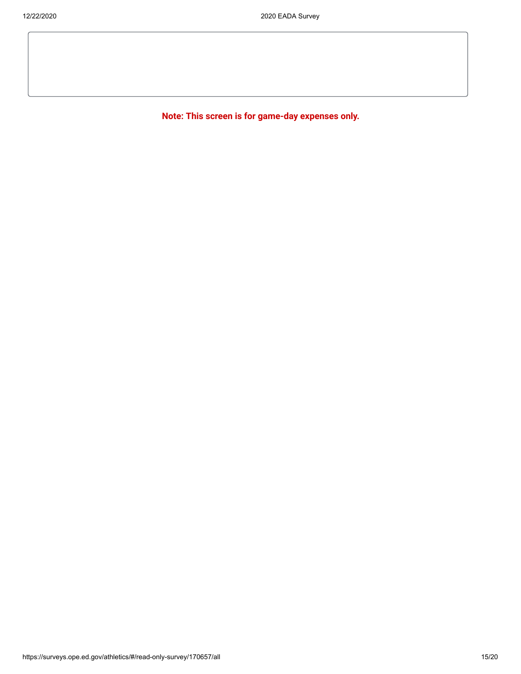**Note: This screen is for game-day expenses only.**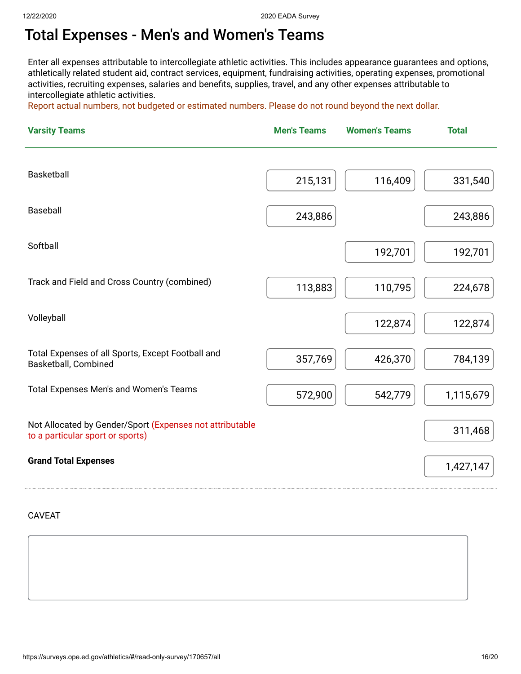#### Total Expenses - Men's and Women's Teams

Enter all expenses attributable to intercollegiate athletic activities. This includes appearance guarantees and options, athletically related student aid, contract services, equipment, fundraising activities, operating expenses, promotional activities, recruiting expenses, salaries and benefits, supplies, travel, and any other expenses attributable to intercollegiate athletic activities.

Report actual numbers, not budgeted or estimated numbers. Please do not round beyond the next dollar.

| <b>Varsity Teams</b>                                                                         | <b>Men's Teams</b> | <b>Women's Teams</b> | <b>Total</b> |
|----------------------------------------------------------------------------------------------|--------------------|----------------------|--------------|
|                                                                                              |                    |                      |              |
| Basketball                                                                                   | 215,131            | 116,409              | 331,540      |
| Baseball                                                                                     | 243,886            |                      | 243,886      |
| Softball                                                                                     |                    | 192,701              | 192,701      |
| Track and Field and Cross Country (combined)                                                 | 113,883            | 110,795              | 224,678      |
| Volleyball                                                                                   |                    | 122,874              | 122,874      |
| Total Expenses of all Sports, Except Football and<br>Basketball, Combined                    | 357,769            | 426,370              | 784,139      |
| Total Expenses Men's and Women's Teams                                                       | 572,900            | 542,779              | 1,115,679    |
| Not Allocated by Gender/Sport (Expenses not attributable<br>to a particular sport or sports) |                    |                      | 311,468      |
| <b>Grand Total Expenses</b>                                                                  |                    |                      | 1,427,147    |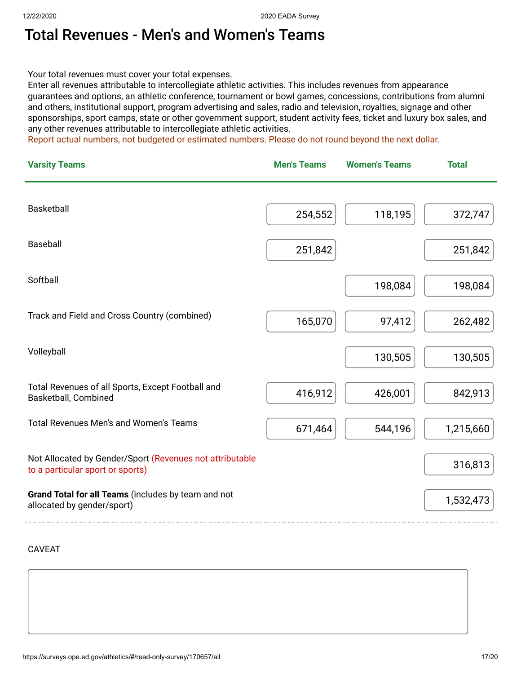### Total Revenues - Men's and Women's Teams

Your total revenues must cover your total expenses.

Enter all revenues attributable to intercollegiate athletic activities. This includes revenues from appearance guarantees and options, an athletic conference, tournament or bowl games, concessions, contributions from alumni and others, institutional support, program advertising and sales, radio and television, royalties, signage and other sponsorships, sport camps, state or other government support, student activity fees, ticket and luxury box sales, and any other revenues attributable to intercollegiate athletic activities.

Report actual numbers, not budgeted or estimated numbers. Please do not round beyond the next dollar.

| <b>Varsity Teams</b>                                                                         | <b>Men's Teams</b> | <b>Women's Teams</b> | <b>Total</b> |
|----------------------------------------------------------------------------------------------|--------------------|----------------------|--------------|
| <b>Basketball</b>                                                                            | 254,552            | 118,195              | 372,747      |
| Baseball                                                                                     | 251,842            |                      | 251,842      |
| Softball                                                                                     |                    | 198,084              | 198,084      |
| Track and Field and Cross Country (combined)                                                 | 165,070            | 97,412               | 262,482      |
| Volleyball                                                                                   |                    | 130,505              | 130,505      |
| Total Revenues of all Sports, Except Football and<br>Basketball, Combined                    | 416,912            | 426,001              | 842,913      |
| <b>Total Revenues Men's and Women's Teams</b>                                                | 671,464            | 544,196              | 1,215,660    |
| Not Allocated by Gender/Sport (Revenues not attributable<br>to a particular sport or sports) |                    |                      | 316,813      |
| Grand Total for all Teams (includes by team and not<br>allocated by gender/sport)            |                    |                      | 1,532,473    |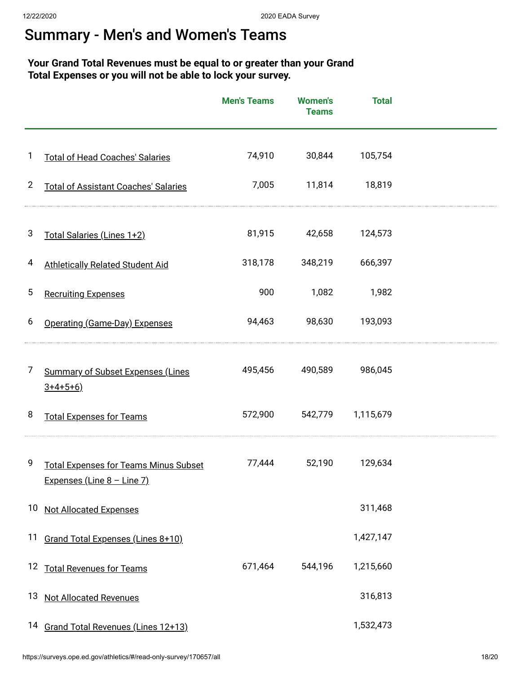### Summary - Men's and Women's Teams

#### **Your Grand Total Revenues must be equal to or greater than your Grand Total Expenses or you will not be able to lock your survey.**

|                |                                                                            | <b>Men's Teams</b> | <b>Women's</b><br><b>Teams</b> | <b>Total</b> |  |
|----------------|----------------------------------------------------------------------------|--------------------|--------------------------------|--------------|--|
| 1              | <b>Total of Head Coaches' Salaries</b>                                     | 74,910             | 30,844                         | 105,754      |  |
| $\overline{2}$ | <b>Total of Assistant Coaches' Salaries</b>                                | 7,005              | 11,814                         | 18,819       |  |
| 3              | Total Salaries (Lines 1+2)                                                 | 81,915             | 42,658                         | 124,573      |  |
| 4              | <b>Athletically Related Student Aid</b>                                    | 318,178            | 348,219                        | 666,397      |  |
| 5              | <b>Recruiting Expenses</b>                                                 | 900                | 1,082                          | 1,982        |  |
| 6              | Operating (Game-Day) Expenses                                              | 94,463             | 98,630                         | 193,093      |  |
| 7              | <b>Summary of Subset Expenses (Lines</b><br>$3+4+5+6$                      | 495,456            | 490,589                        | 986,045      |  |
| 8              | <b>Total Expenses for Teams</b>                                            | 572,900            | 542,779                        | 1,115,679    |  |
| 9              | <b>Total Expenses for Teams Minus Subset</b><br>Expenses (Line 8 - Line 7) | 77,444             | 52,190                         | 129,634      |  |
|                | 10 Not Allocated Expenses                                                  |                    |                                | 311,468      |  |
|                | 11 Grand Total Expenses (Lines 8+10)                                       |                    |                                | 1,427,147    |  |
|                | 12 Total Revenues for Teams                                                | 671,464            | 544,196                        | 1,215,660    |  |
| 13             | <b>Not Allocated Revenues</b>                                              |                    |                                | 316,813      |  |
|                | 14 Grand Total Revenues (Lines 12+13)                                      |                    |                                | 1,532,473    |  |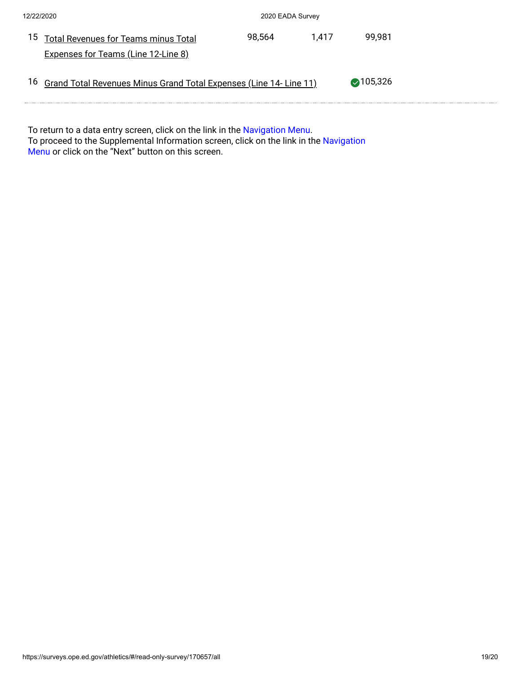| 12/22/2020 |                                                                       | 2020 EADA Survey |       |                    |  |
|------------|-----------------------------------------------------------------------|------------------|-------|--------------------|--|
|            | <sup>15</sup> Total Revenues for Teams minus Total                    | 98.564           | 1.417 | 99.981             |  |
|            | <b>Expenses for Teams (Line 12-Line 8)</b>                            |                  |       |                    |  |
|            | 16 Grand Total Revenues Minus Grand Total Expenses (Line 14- Line 11) |                  |       | $\bigcirc$ 105,326 |  |
|            |                                                                       |                  |       |                    |  |

To return to a data entry screen, click on the link in the <mark>Navigation Menu.</mark> To proceed to the Supplemental Information screen, click on the link in the Navigation Menu or click on the "Next" button on this screen.